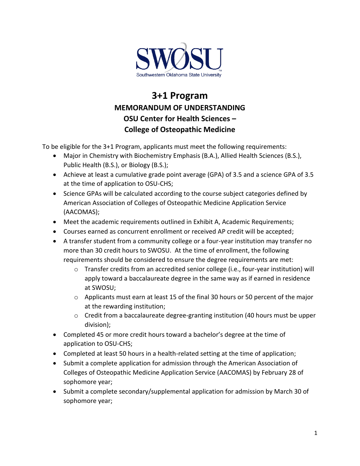

## **3+1 Program MEMORANDUM OF UNDERSTANDING OSU Center for Health Sciences – College of Osteopathic Medicine**

To be eligible for the 3+1 Program, applicants must meet the following requirements:

- Major in Chemistry with Biochemistry Emphasis (B.A.), Allied Health Sciences (B.S.), Public Health (B.S.), or Biology (B.S.);
- Achieve at least a cumulative grade point average (GPA) of 3.5 and a science GPA of 3.5 at the time of application to OSU-CHS;
- Science GPAs will be calculated according to the course subject categories defined by American Association of Colleges of Osteopathic Medicine Application Service (AACOMAS);
- Meet the academic requirements outlined in Exhibit A, Academic Requirements;
- Courses earned as concurrent enrollment or received AP credit will be accepted;
- A transfer student from a community college or a four-year institution may transfer no more than 30 credit hours to SWOSU. At the time of enrollment, the following requirements should be considered to ensure the degree requirements are met:
	- $\circ$  Transfer credits from an accredited senior college (i.e., four-year institution) will apply toward a baccalaureate degree in the same way as if earned in residence at SWOSU;
	- $\circ$  Applicants must earn at least 15 of the final 30 hours or 50 percent of the major at the rewarding institution;
	- o Credit from a baccalaureate degree-granting institution (40 hours must be upper division);
- Completed 45 or more credit hours toward a bachelor's degree at the time of application to OSU-CHS;
- Completed at least 50 hours in a health-related setting at the time of application;
- Submit a complete application for admission through the American Association of Colleges of Osteopathic Medicine Application Service (AACOMAS) by February 28 of sophomore year;
- Submit a complete secondary/supplemental application for admission by March 30 of sophomore year;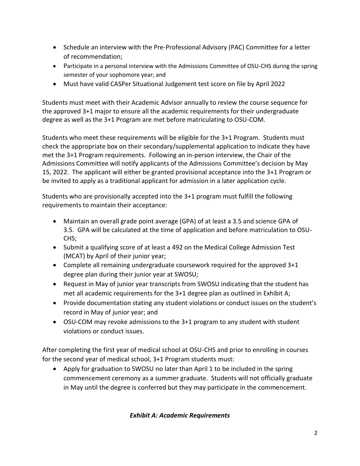- Schedule an interview with the Pre-Professional Advisory (PAC) Committee for a letter of recommendation;
- Participate in a personal interview with the Admissions Committee of OSU-CHS during the spring semester of your sophomore year; and
- Must have valid CASPer Situational Judgement test score on file by April 2022

Students must meet with their Academic Advisor annually to review the course sequence for the approved 3+1 major to ensure all the academic requirements for their undergraduate degree as well as the 3+1 Program are met before matriculating to OSU-COM.

Students who meet these requirements will be eligible for the 3+1 Program. Students must check the appropriate box on their secondary/supplemental application to indicate they have met the 3+1 Program requirements. Following an in-person interview, the Chair of the Admissions Committee will notify applicants of the Admissions Committee's decision by May 15, 2022. The applicant will either be granted provisional acceptance into the 3+1 Program or be invited to apply as a traditional applicant for admission in a later application cycle.

Students who are provisionally accepted into the 3+1 program must fulfill the following requirements to maintain their acceptance:

- Maintain an overall grade point average (GPA) of at least a 3.5 and science GPA of 3.5. GPA will be calculated at the time of application and before matriculation to OSU-CHS;
- Submit a qualifying score of at least a 492 on the Medical College Admission Test (MCAT) by April of their junior year;
- Complete all remaining undergraduate coursework required for the approved 3+1 degree plan during their junior year at SWOSU;
- Request in May of junior year transcripts from SWOSU indicating that the student has met all academic requirements for the 3+1 degree plan as outlined in Exhibit A;
- Provide documentation stating any student violations or conduct issues on the student's record in May of junior year; and
- OSU-COM may revoke admissions to the 3+1 program to any student with student violations or conduct issues.

After completing the first year of medical school at OSU-CHS and prior to enrolling in courses for the second year of medical school, 3+1 Program students must:

• Apply for graduation to SWOSU no later than April 1 to be included in the spring commencement ceremony as a summer graduate. Students will not officially graduate in May until the degree is conferred but they may participate in the commencement.

## *Exhibit A: Academic Requirements*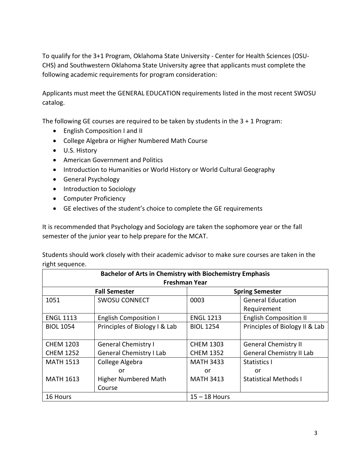To qualify for the 3+1 Program, Oklahoma State University - Center for Health Sciences (OSU-CHS) and Southwestern Oklahoma State University agree that applicants must complete the following academic requirements for program consideration:

Applicants must meet the GENERAL EDUCATION requirements listed in the most recent SWOSU catalog.

The following GE courses are required to be taken by students in the 3 + 1 Program:

- English Composition I and II
- College Algebra or Higher Numbered Math Course
- U.S. History
- American Government and Politics
- Introduction to Humanities or World History or World Cultural Geography
- General Psychology
- Introduction to Sociology
- Computer Proficiency
- GE electives of the student's choice to complete the GE requirements

It is recommended that Psychology and Sociology are taken the sophomore year or the fall semester of the junior year to help prepare for the MCAT.

Students should work closely with their academic advisor to make sure courses are taken in the right sequence.

| <b>Bachelor of Arts in Chemistry with Biochemistry Emphasis</b> |                                |                  |                                 |  |
|-----------------------------------------------------------------|--------------------------------|------------------|---------------------------------|--|
| <b>Freshman Year</b>                                            |                                |                  |                                 |  |
|                                                                 | <b>Fall Semester</b>           |                  | <b>Spring Semester</b>          |  |
| 1051                                                            | <b>SWOSU CONNECT</b>           | 0003             | <b>General Education</b>        |  |
|                                                                 |                                |                  | Requirement                     |  |
| <b>ENGL 1113</b>                                                | <b>English Composition I</b>   | <b>ENGL 1213</b> | <b>English Composition II</b>   |  |
| <b>BIOL 1054</b>                                                | Principles of Biology I & Lab  | <b>BIOL 1254</b> | Principles of Biology II & Lab  |  |
|                                                                 |                                |                  |                                 |  |
| <b>CHEM 1203</b>                                                | <b>General Chemistry I</b>     | <b>CHEM 1303</b> | <b>General Chemistry II</b>     |  |
| <b>CHEM 1252</b>                                                | <b>General Chemistry I Lab</b> | <b>CHEM 1352</b> | <b>General Chemistry II Lab</b> |  |
| <b>MATH 1513</b>                                                | College Algebra                | <b>MATH 3433</b> | <b>Statistics I</b>             |  |
|                                                                 | or                             | or               | or                              |  |
| <b>MATH 1613</b>                                                | <b>Higher Numbered Math</b>    | <b>MATH 3413</b> | <b>Statistical Methods I</b>    |  |
|                                                                 | Course                         |                  |                                 |  |
| 16 Hours                                                        |                                | $15 - 18$ Hours  |                                 |  |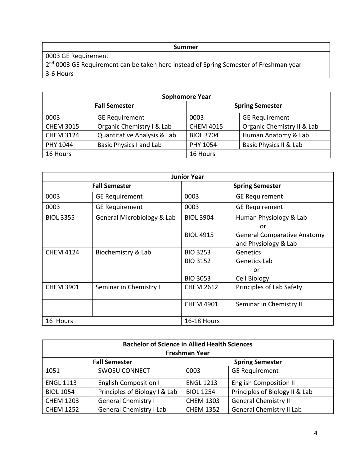## **Summer**

0003 GE Requirement

2<sup>nd</sup> 0003 GE Requirement can be taken here instead of Spring Semester of Freshman year 3-6 Hours

| <b>Sophomore Year</b> |                                |                        |                            |  |
|-----------------------|--------------------------------|------------------------|----------------------------|--|
| <b>Fall Semester</b>  |                                | <b>Spring Semester</b> |                            |  |
| 0003                  | <b>GE Requirement</b>          | 0003                   | <b>GE Requirement</b>      |  |
| <b>CHEM 3015</b>      | Organic Chemistry I & Lab      | <b>CHEM 4015</b>       | Organic Chemistry II & Lab |  |
| <b>CHEM 3124</b>      | Quantitative Analysis & Lab    | <b>BIOL 3704</b>       | Human Anatomy & Lab        |  |
| PHY 1044              | <b>Basic Physics I and Lab</b> | PHY 1054               | Basic Physics II & Lab     |  |
| 16 Hours              |                                | 16 Hours               |                            |  |

| <b>Junior Year</b>   |                            |                        |                                    |
|----------------------|----------------------------|------------------------|------------------------------------|
| <b>Fall Semester</b> |                            | <b>Spring Semester</b> |                                    |
| 0003                 | <b>GE Requirement</b>      | 0003                   | <b>GE Requirement</b>              |
| 0003                 | <b>GE Requirement</b>      | 0003                   | <b>GE Requirement</b>              |
| <b>BIOL 3355</b>     | General Microbiology & Lab | <b>BIOL 3904</b>       | Human Physiology & Lab             |
|                      |                            |                        | or                                 |
|                      |                            | <b>BIOL 4915</b>       | <b>General Comparative Anatomy</b> |
|                      |                            |                        | and Physiology & Lab               |
| <b>CHEM 4124</b>     | Biochemistry & Lab         | <b>BIO 3253</b>        | Genetics                           |
|                      |                            | <b>BIO 3152</b>        | Genetics Lab                       |
|                      |                            |                        | or                                 |
|                      |                            | <b>BIO 3053</b>        | Cell Biology                       |
| <b>CHEM 3901</b>     | Seminar in Chemistry I     | <b>CHEM 2612</b>       | Principles of Lab Safety           |
|                      |                            | <b>CHEM 4901</b>       | Seminar in Chemistry II            |
| 16 Hours             |                            | 16-18 Hours            |                                    |

| <b>Bachelor of Science in Allied Health Sciences</b><br><b>Freshman Year</b> |                                |                  |                                 |  |
|------------------------------------------------------------------------------|--------------------------------|------------------|---------------------------------|--|
| <b>Fall Semester</b><br><b>Spring Semester</b>                               |                                |                  |                                 |  |
| 1051                                                                         | <b>SWOSU CONNECT</b>           | 0003             | <b>GE Requirement</b>           |  |
| <b>ENGL 1113</b>                                                             | <b>English Composition I</b>   | <b>ENGL 1213</b> | <b>English Composition II</b>   |  |
| <b>BIOL 1054</b>                                                             | Principles of Biology I & Lab  | <b>BIOL 1254</b> | Principles of Biology II & Lab  |  |
| <b>CHEM 1203</b>                                                             | <b>General Chemistry I</b>     | <b>CHEM 1303</b> | <b>General Chemistry II</b>     |  |
| <b>CHEM 1252</b>                                                             | <b>General Chemistry I Lab</b> | <b>CHEM 1352</b> | <b>General Chemistry II Lab</b> |  |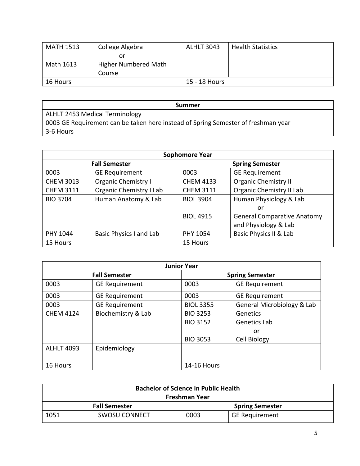| <b>MATH 1513</b> | College Algebra      | <b>ALHLT 3043</b> | <b>Health Statistics</b> |
|------------------|----------------------|-------------------|--------------------------|
|                  | or                   |                   |                          |
| Math 1613        | Higher Numbered Math |                   |                          |
|                  | Course               |                   |                          |
| 16 Hours         |                      | 15 - 18 Hours     |                          |

| Summer                                                                            |
|-----------------------------------------------------------------------------------|
| ALHLT 2453 Medical Terminology                                                    |
| 0003 GE Requirement can be taken here instead of Spring Semester of freshman year |
| 3-6 Hours                                                                         |

| <b>Sophomore Year</b> |                                |                        |                                    |
|-----------------------|--------------------------------|------------------------|------------------------------------|
| <b>Fall Semester</b>  |                                | <b>Spring Semester</b> |                                    |
| 0003                  | <b>GE Requirement</b>          | 0003                   | <b>GE Requirement</b>              |
| <b>CHEM 3013</b>      | <b>Organic Chemistry I</b>     | <b>CHEM 4133</b>       | <b>Organic Chemistry II</b>        |
| <b>CHEM 3111</b>      | <b>Organic Chemistry I Lab</b> | <b>CHEM 3111</b>       | <b>Organic Chemistry II Lab</b>    |
| <b>BIO 3704</b>       | Human Anatomy & Lab            | <b>BIOL 3904</b>       | Human Physiology & Lab             |
|                       |                                |                        | or                                 |
|                       |                                | <b>BIOL 4915</b>       | <b>General Comparative Anatomy</b> |
|                       |                                |                        | and Physiology & Lab               |
| PHY 1044              | Basic Physics I and Lab        | PHY 1054               | Basic Physics II & Lab             |
| 15 Hours              |                                | 15 Hours               |                                    |

| <b>Junior Year</b>   |                       |                        |                            |
|----------------------|-----------------------|------------------------|----------------------------|
| <b>Fall Semester</b> |                       | <b>Spring Semester</b> |                            |
| 0003                 | <b>GE Requirement</b> | 0003                   | <b>GE Requirement</b>      |
| 0003                 | <b>GE Requirement</b> | 0003                   | <b>GE Requirement</b>      |
| 0003                 | <b>GE Requirement</b> | <b>BIOL 3355</b>       | General Microbiology & Lab |
| <b>CHEM 4124</b>     | Biochemistry & Lab    | <b>BIO 3253</b>        | Genetics                   |
|                      |                       | <b>BIO 3152</b>        | Genetics Lab               |
|                      |                       |                        | or                         |
|                      |                       | <b>BIO 3053</b>        | Cell Biology               |
| <b>ALHLT 4093</b>    | Epidemiology          |                        |                            |
| 16 Hours             |                       | <b>14-16 Hours</b>     |                            |

| <b>Bachelor of Science in Public Health</b>    |                      |      |                       |
|------------------------------------------------|----------------------|------|-----------------------|
| Freshman Year                                  |                      |      |                       |
| <b>Fall Semester</b><br><b>Spring Semester</b> |                      |      |                       |
| 1051                                           | <b>SWOSU CONNECT</b> | 0003 | <b>GE Requirement</b> |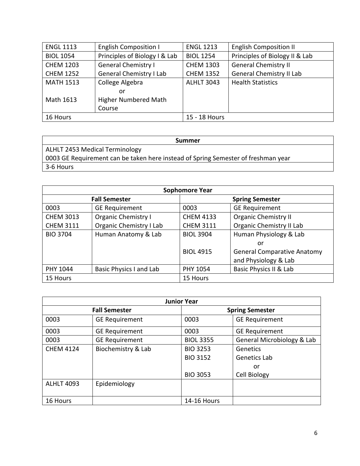| <b>ENGL 1113</b> | <b>English Composition I</b>   | <b>ENGL 1213</b>  | <b>English Composition II</b>   |
|------------------|--------------------------------|-------------------|---------------------------------|
| <b>BIOL 1054</b> | Principles of Biology I & Lab  | <b>BIOL 1254</b>  | Principles of Biology II & Lab  |
| <b>CHEM 1203</b> | <b>General Chemistry I</b>     | <b>CHEM 1303</b>  | <b>General Chemistry II</b>     |
| <b>CHEM 1252</b> | <b>General Chemistry I Lab</b> | <b>CHEM 1352</b>  | <b>General Chemistry II Lab</b> |
| <b>MATH 1513</b> | College Algebra                | <b>ALHLT 3043</b> | <b>Health Statistics</b>        |
|                  | or                             |                   |                                 |
| Math 1613        | <b>Higher Numbered Math</b>    |                   |                                 |
|                  | Course                         |                   |                                 |
| 16 Hours         |                                | 15 - 18 Hours     |                                 |

| Summer                                                                            |
|-----------------------------------------------------------------------------------|
| ALHLT 2453 Medical Terminology                                                    |
| 0003 GE Requirement can be taken here instead of Spring Semester of freshman year |
| 3-6 Hours                                                                         |

| <b>Sophomore Year</b> |                                |                        |                                    |
|-----------------------|--------------------------------|------------------------|------------------------------------|
| <b>Fall Semester</b>  |                                | <b>Spring Semester</b> |                                    |
| 0003                  | <b>GE Requirement</b>          | 0003                   | <b>GE Requirement</b>              |
| <b>CHEM 3013</b>      | <b>Organic Chemistry I</b>     | <b>CHEM 4133</b>       | <b>Organic Chemistry II</b>        |
| <b>CHEM 3111</b>      | <b>Organic Chemistry I Lab</b> | <b>CHEM 3111</b>       | Organic Chemistry II Lab           |
| <b>BIO 3704</b>       | Human Anatomy & Lab            | <b>BIOL 3904</b>       | Human Physiology & Lab             |
|                       |                                |                        | or                                 |
|                       |                                | <b>BIOL 4915</b>       | <b>General Comparative Anatomy</b> |
|                       |                                |                        | and Physiology & Lab               |
| PHY 1044              | Basic Physics I and Lab        | PHY 1054               | Basic Physics II & Lab             |
| 15 Hours              |                                | 15 Hours               |                                    |

| <b>Junior Year</b>   |                       |                        |                            |
|----------------------|-----------------------|------------------------|----------------------------|
| <b>Fall Semester</b> |                       | <b>Spring Semester</b> |                            |
| 0003                 | <b>GE Requirement</b> | 0003                   | <b>GE Requirement</b>      |
| 0003                 | <b>GE Requirement</b> | 0003                   | <b>GE Requirement</b>      |
| 0003                 | <b>GE Requirement</b> | <b>BIOL 3355</b>       | General Microbiology & Lab |
| <b>CHEM 4124</b>     | Biochemistry & Lab    | <b>BIO 3253</b>        | Genetics                   |
|                      |                       | <b>BIO 3152</b>        | Genetics Lab               |
|                      |                       |                        | or                         |
|                      |                       | <b>BIO 3053</b>        | Cell Biology               |
| <b>ALHLT 4093</b>    | Epidemiology          |                        |                            |
| 16 Hours             |                       | <b>14-16 Hours</b>     |                            |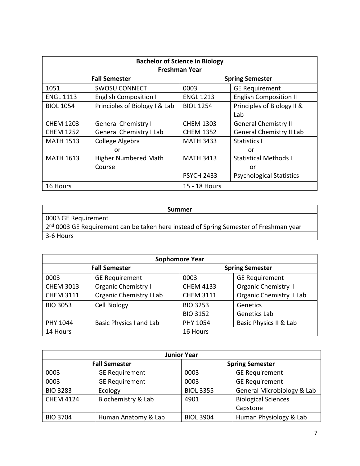| <b>Bachelor of Science in Biology</b> |                                |                        |                                 |
|---------------------------------------|--------------------------------|------------------------|---------------------------------|
| <b>Freshman Year</b>                  |                                |                        |                                 |
| <b>Fall Semester</b>                  |                                | <b>Spring Semester</b> |                                 |
| 1051                                  | <b>SWOSU CONNECT</b>           | 0003                   | <b>GE Requirement</b>           |
| <b>ENGL 1113</b>                      | <b>English Composition I</b>   | <b>ENGL 1213</b>       | <b>English Composition II</b>   |
| <b>BIOL 1054</b>                      | Principles of Biology I & Lab  | <b>BIOL 1254</b>       | Principles of Biology II &      |
|                                       |                                |                        | Lab                             |
| <b>CHEM 1203</b>                      | <b>General Chemistry I</b>     | <b>CHEM 1303</b>       | <b>General Chemistry II</b>     |
| <b>CHEM 1252</b>                      | <b>General Chemistry I Lab</b> | <b>CHEM 1352</b>       | <b>General Chemistry II Lab</b> |
| <b>MATH 1513</b>                      | College Algebra                | <b>MATH 3433</b>       | Statistics I                    |
|                                       | or                             |                        | or                              |
| <b>MATH 1613</b>                      | <b>Higher Numbered Math</b>    | <b>MATH 3413</b>       | <b>Statistical Methods I</b>    |
|                                       | Course                         |                        | or                              |
|                                       |                                | <b>PSYCH 2433</b>      | <b>Psychological Statistics</b> |
| 16 Hours                              |                                | 15 - 18 Hours          |                                 |

| Summer                                                                                            |  |
|---------------------------------------------------------------------------------------------------|--|
| 0003 GE Requirement                                                                               |  |
| 2 <sup>nd</sup> 0003 GE Requirement can be taken here instead of Spring Semester of Freshman year |  |
| 3-6 Hours                                                                                         |  |

| <b>Sophomore Year</b> |                                |                        |                                 |
|-----------------------|--------------------------------|------------------------|---------------------------------|
| <b>Fall Semester</b>  |                                | <b>Spring Semester</b> |                                 |
| 0003                  | <b>GE Requirement</b>          | 0003                   | <b>GE Requirement</b>           |
| <b>CHEM 3013</b>      | <b>Organic Chemistry I</b>     | <b>CHEM 4133</b>       | <b>Organic Chemistry II</b>     |
| <b>CHEM 3111</b>      | <b>Organic Chemistry I Lab</b> | <b>CHEM 3111</b>       | <b>Organic Chemistry II Lab</b> |
| <b>BIO 3053</b>       | <b>Cell Biology</b>            | <b>BIO 3253</b>        | Genetics                        |
|                       |                                | <b>BIO 3152</b>        | Genetics Lab                    |
| PHY 1044              | <b>Basic Physics I and Lab</b> | PHY 1054               | Basic Physics II & Lab          |
| 14 Hours              |                                | 16 Hours               |                                 |

| <b>Junior Year</b>   |                       |                        |                            |
|----------------------|-----------------------|------------------------|----------------------------|
| <b>Fall Semester</b> |                       | <b>Spring Semester</b> |                            |
| 0003                 | <b>GE Requirement</b> | 0003                   | <b>GE Requirement</b>      |
| 0003                 | <b>GE Requirement</b> | 0003                   | <b>GE Requirement</b>      |
| <b>BIO 3283</b>      | Ecology               | <b>BIOL 3355</b>       | General Microbiology & Lab |
| <b>CHEM 4124</b>     | Biochemistry & Lab    | 4901                   | <b>Biological Sciences</b> |
|                      |                       |                        | Capstone                   |
| <b>BIO 3704</b>      | Human Anatomy & Lab   | <b>BIOL 3904</b>       | Human Physiology & Lab     |